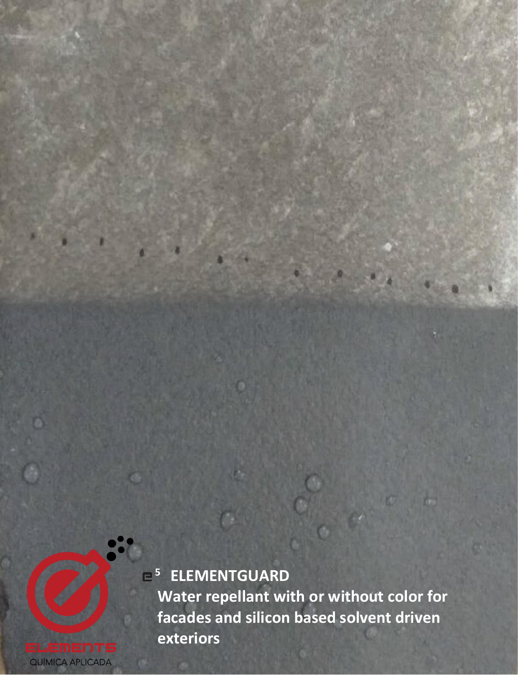

**Water repellant with or without color for facades and silicon based solvent driven exteriors**

**<sup>5</sup>ELEMENTGUARD**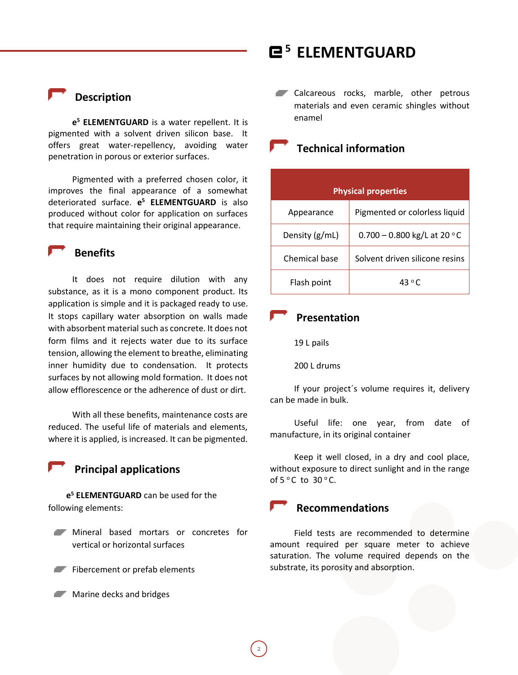**Description**

**e <sup>5</sup> ELEMENTGUARD** is a water repellent. It is pigmented with a solvent driven silicon base. It offers great water-repellency, avoiding water penetration in porous or exterior surfaces.

Pigmented with a preferred chosen color, it improves the final appearance of a somewhat deteriorated surface. **e <sup>5</sup> ELEMENTGUARD** is also produced without color for application on surfaces that require maintaining their original appearance.

### **Benefits**

It does not require dilution with any substance, as it is a mono component product. Its application is simple and it is packaged ready to use. It stops capillary water absorption on walls made with absorbent material such as concrete. It does not form films and it rejects water due to its surface tension, allowing the element to breathe, eliminating inner humidity due to condensation. It protects surfaces by not allowing mold formation. It does not allow efflorescence or the adherence of dust or dirt.

With all these benefits, maintenance costs are reduced. The useful life of materials and elements, where it is applied, is increased. It can be pigmented.

 **Principal applications**

**e <sup>5</sup> ELEMENTGUARD** can be used for the following elements:

- Mineral based mortars or concretes for vertical or horizontal surfaces
- Fibercement or prefab elements
- **Marine decks and bridges**

Calcareous rocks, marble, other petrous materials and even ceramic shingles without enamel

## **Technical information**

| <b>Physical properties</b> |                                |
|----------------------------|--------------------------------|
| Appearance                 | Pigmented or colorless liquid  |
| Density (g/mL)             | $0.700 - 0.800$ kg/L at 20 °C  |
| Chemical base              | Solvent driven silicone resins |
| Flash point                | 43 $\degree$ C                 |

#### **Presentation**

19 L pails

200 L drums

If your project´s volume requires it, delivery can be made in bulk.

Useful life: one year, from date of manufacture, in its original container

Keep it well closed, in a dry and cool place, without exposure to direct sunlight and in the range of  $5^{\circ}$ C to  $30^{\circ}$ C.

## **Recommendations**

Field tests are recommended to determine amount required per square meter to achieve saturation. The volume required depends on the substrate, its porosity and absorption.

2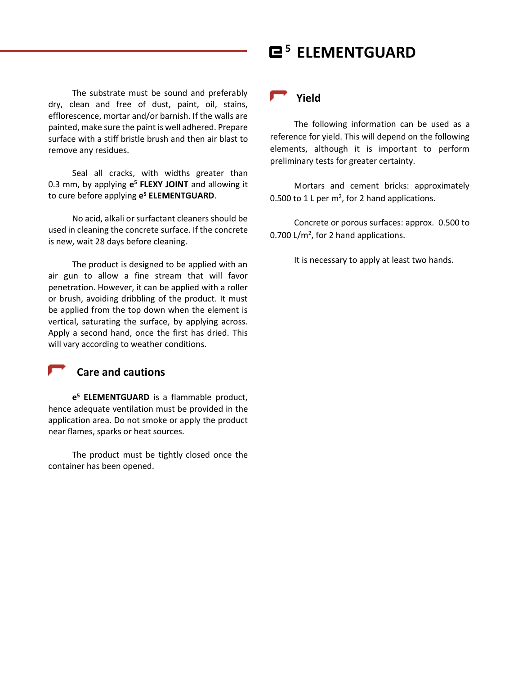The substrate must be sound and preferably dry, clean and free of dust, paint, oil, stains, efflorescence, mortar and/or barnish. If the walls are painted, make sure the paint is well adhered. Prepare surface with a stiff bristle brush and then air blast to remove any residues.

Seal all cracks, with widths greater than 0.3 mm, by applying **e <sup>5</sup> FLEXY JOINT** and allowing it to cure before applying **e <sup>5</sup> ELEMENTGUARD**.

No acid, alkali or surfactant cleaners should be used in cleaning the concrete surface. If the concrete is new, wait 28 days before cleaning.

The product is designed to be applied with an air gun to allow a fine stream that will favor penetration. However, it can be applied with a roller or brush, avoiding dribbling of the product. It must be applied from the top down when the element is vertical, saturating the surface, by applying across. Apply a second hand, once the first has dried. This will vary according to weather conditions.



#### **Care and cautions**

**e <sup>5</sup> ELEMENTGUARD** is a flammable product, hence adequate ventilation must be provided in the application area. Do not smoke or apply the product near flames, sparks or heat sources.

The product must be tightly closed once the container has been opened.

## **Yield**

The following information can be used as a reference for yield. This will depend on the following elements, although it is important to perform preliminary tests for greater certainty.

Mortars and cement bricks: approximately 0.500 to 1 L per  $m^2$ , for 2 hand applications.

Concrete or porous surfaces: approx. 0.500 to 0.700  $L/m^2$ , for 2 hand applications.

It is necessary to apply at least two hands.